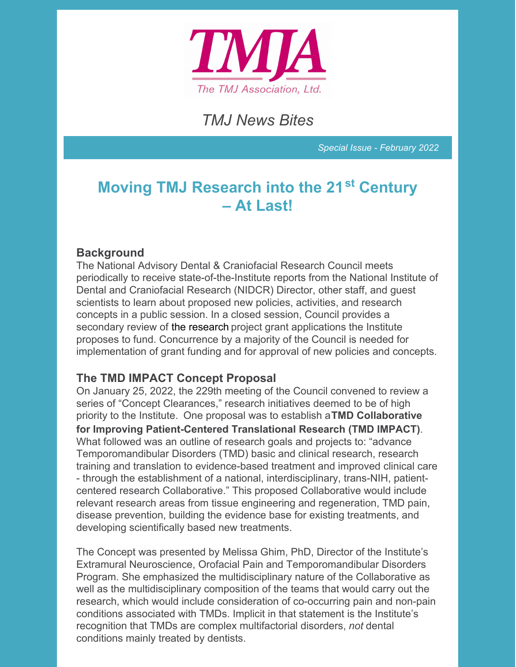

# *TMJ News Bites*

*Special Issue - February 2022*

# **Moving TMJ Research into the 21 st Century – At Last!**

#### **Background**

The National Advisory Dental & Craniofacial Research Council meets periodically to receive state-of-the-Institute reports from the National Institute of Dental and Craniofacial Research (NIDCR) Director, other staff, and guest scientists to learn about proposed new policies, activities, and research concepts in a public session. In a closed session, Council provides a secondary review of the research project grant applications the Institute proposes to fund. Concurrence by a majority of the Council is needed for implementation of grant funding and for approval of new policies and concepts.

### **The TMD IMPACT Concept Proposal**

On January 25, 2022, the 229th meeting of the Council convened to review a series of "Concept Clearances," research initiatives deemed to be of high priority to the Institute. One proposal was to establish a**TMD Collaborative for Improving Patient-Centered Translational Research (TMD IMPACT)**. What followed was an outline of research goals and projects to: "advance Temporomandibular Disorders (TMD) basic and clinical research, research training and translation to evidence-based treatment and improved clinical care - through the establishment of a national, interdisciplinary, trans-NIH, patientcentered research Collaborative." This proposed Collaborative would include relevant research areas from tissue engineering and regeneration, TMD pain, disease prevention, building the evidence base for existing treatments, and developing scientifically based new treatments.

The Concept was presented by Melissa Ghim, PhD, Director of the Institute's Extramural Neuroscience, Orofacial Pain and Temporomandibular Disorders Program. She emphasized the multidisciplinary nature of the Collaborative as well as the multidisciplinary composition of the teams that would carry out the research, which would include consideration of co-occurring pain and non-pain conditions associated with TMDs. Implicit in that statement is the Institute's recognition that TMDs are complex multifactorial disorders, *not* dental conditions mainly treated by dentists.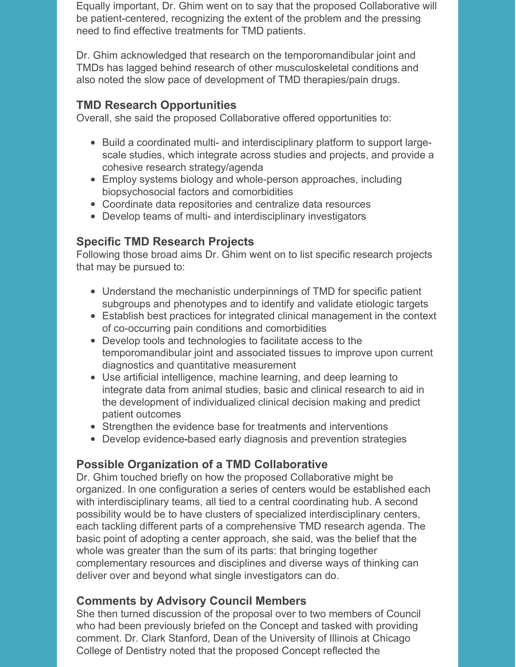Equally important, Dr. Ghim went on to say that the proposed Collaborative will be patient-centered, recognizing the extent of the problem and the pressing need to find effective treatments for TMD patients.

Dr. Ghim acknowledged that research on the temporomandibular joint and TMDs has lagged behind research of other musculoskeletal conditions and also noted the slow pace of development of TMD therapies/pain drugs.

### **TMD Research Opportunities**

Overall, she said the proposed Collaborative offered opportunities to:

- Build a coordinated multi- and interdisciplinary platform to support largescale studies, which integrate across studies and projects, and provide a cohesive research strategy/agenda
- Employ systems biology and whole-person approaches, including biopsychosocial factors and comorbidities
- Coordinate data repositories and centralize data resources
- Develop teams of multi- and interdisciplinary investigators

## **Specific TMD Research Projects**

Following those broad aims Dr. Ghim went on to list specific research projects that may be pursued to:

- Understand the mechanistic underpinnings of TMD for specific patient subgroups and phenotypes and to identify and validate etiologic targets
- Establish best practices for integrated clinical management in the context of co-occurring pain conditions and comorbidities
- Develop tools and technologies to facilitate access to the temporomandibular joint and associated tissues to improve upon current diagnostics and quantitative measurement
- Use artificial intelligence, machine learning, and deep learning to integrate data from animal studies, basic and clinical research to aid in the development of individualized clinical decision making and predict patient outcomes
- Strengthen the evidence base for treatments and interventions
- Develop evidence-based early diagnosis and prevention strategies

## **Possible Organization of a TMD Collaborative**

Dr. Ghim touched briefly on how the proposed Collaborative might be organized. In one configuration a series of centers would be established each with interdisciplinary teams, all tied to a central coordinating hub. A second possibility would be to have clusters of specialized interdisciplinary centers, each tackling different parts of a comprehensive TMD research agenda. The basic point of adopting a center approach, she said, was the belief that the whole was greater than the sum of its parts: that bringing together complementary resources and disciplines and diverse ways of thinking can deliver over and beyond what single investigators can do.

## **Comments by Advisory Council Members**

She then turned discussion of the proposal over to two members of Council who had been previously briefed on the Concept and tasked with providing comment. Dr. Clark Stanford, Dean of the University of Illinois at Chicago College of Dentistry noted that the proposed Concept reflected the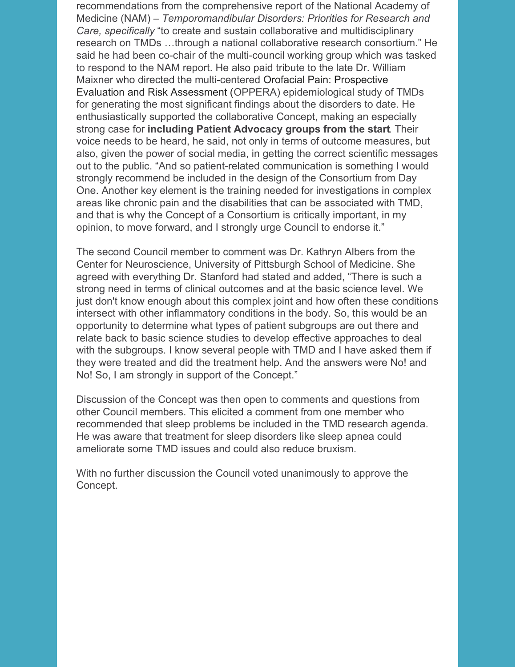recommendations from the comprehensive report of the National Academy of Medicine (NAM) – *Temporomandibular Disorders: Priorities for Research and Care, specifically* "to create and sustain collaborative and multidisciplinary research on TMDs …through a national collaborative research consortium." He said he had been co-chair of the multi-council working group which was tasked to respond to the NAM report. He also paid tribute to the late Dr. William Maixner who directed the multi-centered Orofacial Pain: Prospective Evaluation and Risk Assessment (OPPERA) epidemiological study of TMDs for generating the most significant findings about the disorders to date. He enthusiastically supported the collaborative Concept, making an especially strong case for **including Patient Advocacy groups from the start**. Their voice needs to be heard, he said, not only in terms of outcome measures, but also, given the power of social media, in getting the correct scientific messages out to the public. "And so patient-related communication is something I would strongly recommend be included in the design of the Consortium from Day One. Another key element is the training needed for investigations in complex areas like chronic pain and the disabilities that can be associated with TMD, and that is why the Concept of a Consortium is critically important, in my opinion, to move forward, and I strongly urge Council to endorse it."

The second Council member to comment was Dr. Kathryn Albers from the Center for Neuroscience, University of Pittsburgh School of Medicine. She agreed with everything Dr. Stanford had stated and added, "There is such a strong need in terms of clinical outcomes and at the basic science level. We just don't know enough about this complex joint and how often these conditions intersect with other inflammatory conditions in the body. So, this would be an opportunity to determine what types of patient subgroups are out there and relate back to basic science studies to develop effective approaches to deal with the subgroups. I know several people with TMD and I have asked them if they were treated and did the treatment help. And the answers were No! and No! So, I am strongly in support of the Concept."

Discussion of the Concept was then open to comments and questions from other Council members. This elicited a comment from one member who recommended that sleep problems be included in the TMD research agenda. He was aware that treatment for sleep disorders like sleep apnea could ameliorate some TMD issues and could also reduce bruxism.

With no further discussion the Council voted unanimously to approve the Concept.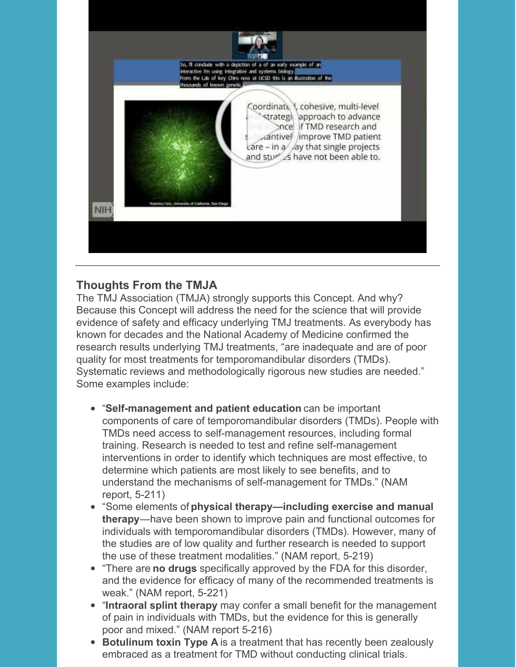

### **Thoughts From the TMJA**

The TMJ Association (TMJA) strongly supports this Concept. And why? Because this Concept will address the need for the science that will provide evidence of safety and efficacy underlying TMJ treatments. As everybody has known for decades and the National Academy of Medicine confirmed the research results underlying TMJ treatments, "are inadequate and are of poor quality for most treatments for temporomandibular disorders (TMDs). Systematic reviews and methodologically rigorous new studies are needed." Some examples include:

- "**Self-management and patient education** can be important components of care of temporomandibular disorders (TMDs). People with TMDs need access to self-management resources, including formal training. Research is needed to test and refine self-management interventions in order to identify which techniques are most effective, to determine which patients are most likely to see benefits, and to understand the mechanisms of self-management for TMDs." (NAM report, 5-211)
- "Some elements of **physical therapy—including exercise and manual therapy**—have been shown to improve pain and functional outcomes for individuals with temporomandibular disorders (TMDs). However, many of the studies are of low quality and further research is needed to support the use of these treatment modalities." (NAM report, 5-219)
- "There are **no drugs** specifically approved by the FDA for this disorder, and the evidence for efficacy of many of the recommended treatments is weak." (NAM report, 5-221)
- "**Intraoral splint therapy** may confer a small benefit for the management of pain in individuals with TMDs, but the evidence for this is generally poor and mixed." (NAM report 5-216)
- **Botulinum toxin Type A** is a treatment that has recently been zealously embraced as a treatment for TMD without conducting clinical trials.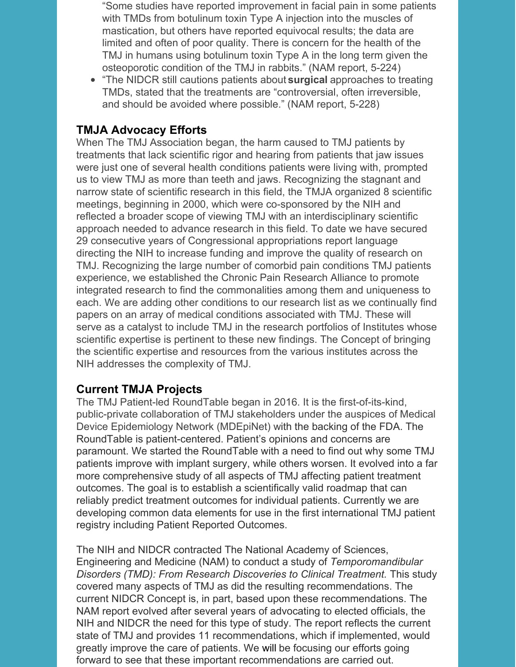"Some studies have reported improvement in facial pain in some patients with TMDs from botulinum toxin Type A injection into the muscles of mastication, but others have reported equivocal results; the data are limited and often of poor quality. There is concern for the health of the TMJ in humans using botulinum toxin Type A in the long term given the osteoporotic condition of the TMJ in rabbits." (NAM report, 5-224)

"The NIDCR still cautions patients about **surgical** approaches to treating TMDs, stated that the treatments are "controversial, often irreversible, and should be avoided where possible." (NAM report, 5-228)

#### **TMJA Advocacy Efforts**

When The TMJ Association began, the harm caused to TMJ patients by treatments that lack scientific rigor and hearing from patients that jaw issues were just one of several health conditions patients were living with, prompted us to view TMJ as more than teeth and jaws. Recognizing the stagnant and narrow state of scientific research in this field, the TMJA organized 8 scientific meetings, beginning in 2000, which were co-sponsored by the NIH and reflected a broader scope of viewing TMJ with an interdisciplinary scientific approach needed to advance research in this field. To date we have secured 29 consecutive years of Congressional appropriations report language directing the NIH to increase funding and improve the quality of research on TMJ. Recognizing the large number of comorbid pain conditions TMJ patients experience, we established the Chronic Pain Research Alliance to promote integrated research to find the commonalities among them and uniqueness to each. We are adding other conditions to our research list as we continually find papers on an array of medical conditions associated with TMJ. These will serve as a catalyst to include TMJ in the research portfolios of Institutes whose scientific expertise is pertinent to these new findings. The Concept of bringing the scientific expertise and resources from the various institutes across the NIH addresses the complexity of TMJ.

### **Current TMJA Projects**

The TMJ Patient-led RoundTable began in 2016. It is the first-of-its-kind, public-private collaboration of TMJ stakeholders under the auspices of Medical Device Epidemiology Network (MDEpiNet) with the backing of the FDA. The RoundTable is patient-centered. Patient's opinions and concerns are paramount. We started the RoundTable with a need to find out why some TMJ patients improve with implant surgery, while others worsen. It evolved into a far more comprehensive study of all aspects of TMJ affecting patient treatment outcomes. The goal is to establish a scientifically valid roadmap that can reliably predict treatment outcomes for individual patients. Currently we are developing common data elements for use in the first international TMJ patient registry including Patient Reported Outcomes.

The NIH and NIDCR contracted The National Academy of Sciences, Engineering and Medicine (NAM) to conduct a study of *Temporomandibular Disorders (TMD): From Research Discoveries to Clinical Treatment.* This study covered many aspects of TMJ as did the resulting recommendations. The current NIDCR Concept is, in part, based upon these recommendations. The NAM report evolved after several years of advocating to elected officials, the NIH and NIDCR the need for this type of study. The report reflects the current state of TMJ and provides 11 recommendations, which if implemented, would greatly improve the care of patients. We will be focusing our efforts going forward to see that these important recommendations are carried out.